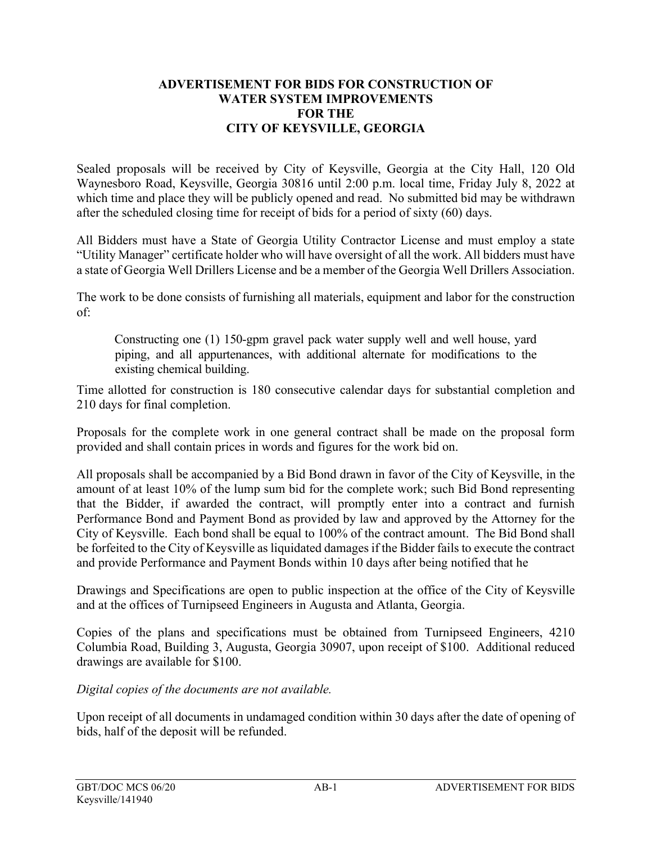## **ADVERTISEMENT FOR BIDS FOR CONSTRUCTION OF WATER SYSTEM IMPROVEMENTS FOR THE CITY OF KEYSVILLE, GEORGIA**

Sealed proposals will be received by City of Keysville, Georgia at the City Hall, 120 Old Waynesboro Road, Keysville, Georgia 30816 until 2:00 p.m. local time, Friday July 8, 2022 at which time and place they will be publicly opened and read. No submitted bid may be withdrawn after the scheduled closing time for receipt of bids for a period of sixty (60) days.

All Bidders must have a State of Georgia Utility Contractor License and must employ a state "Utility Manager" certificate holder who will have oversight of all the work. All bidders must have a state of Georgia Well Drillers License and be a member of the Georgia Well Drillers Association.

The work to be done consists of furnishing all materials, equipment and labor for the construction of:

Constructing one (1) 150-gpm gravel pack water supply well and well house, yard piping, and all appurtenances, with additional alternate for modifications to the existing chemical building.

Time allotted for construction is 180 consecutive calendar days for substantial completion and 210 days for final completion.

Proposals for the complete work in one general contract shall be made on the proposal form provided and shall contain prices in words and figures for the work bid on.

All proposals shall be accompanied by a Bid Bond drawn in favor of the City of Keysville, in the amount of at least 10% of the lump sum bid for the complete work; such Bid Bond representing that the Bidder, if awarded the contract, will promptly enter into a contract and furnish Performance Bond and Payment Bond as provided by law and approved by the Attorney for the City of Keysville. Each bond shall be equal to 100% of the contract amount. The Bid Bond shall be forfeited to the City of Keysville as liquidated damages if the Bidder fails to execute the contract and provide Performance and Payment Bonds within 10 days after being notified that he

Drawings and Specifications are open to public inspection at the office of the City of Keysville and at the offices of Turnipseed Engineers in Augusta and Atlanta, Georgia.

Copies of the plans and specifications must be obtained from Turnipseed Engineers, 4210 Columbia Road, Building 3, Augusta, Georgia 30907, upon receipt of \$100. Additional reduced drawings are available for \$100.

*Digital copies of the documents are not available.*

Upon receipt of all documents in undamaged condition within 30 days after the date of opening of bids, half of the deposit will be refunded.